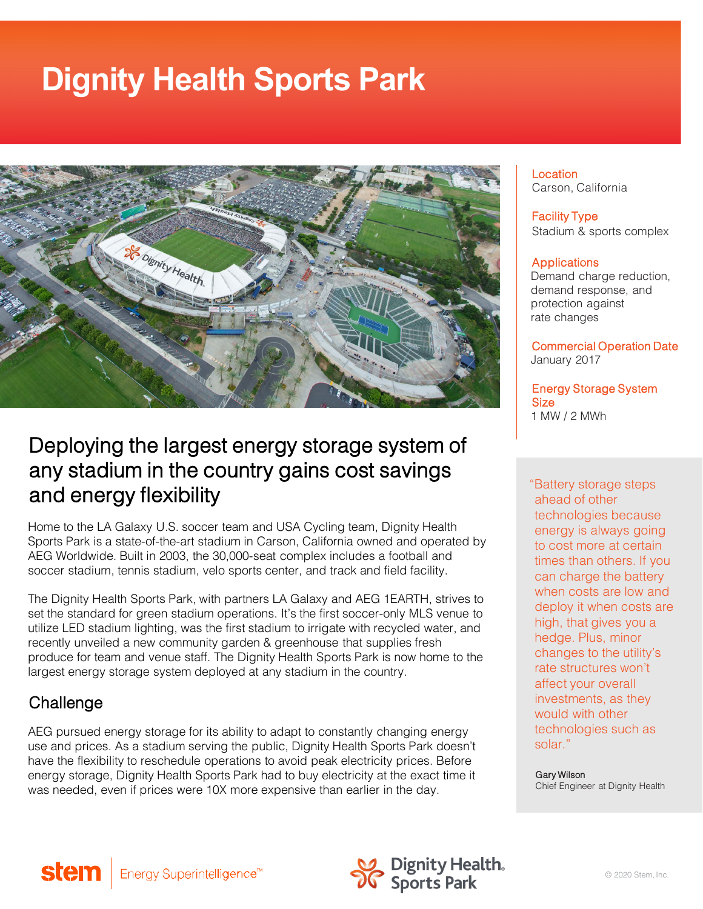# **Dignity Health Sports Park**



## Deploying the largest energy storage system of any stadium in the country gains cost savings and energy flexibility

Home to the LA Galaxy U.S. soccer team and USA Cycling team, Dignity Health Sports Park is a state-of-the-art stadium in Carson, California owned and operated by AEG Worldwide. Built in 2003, the 30,000-seat complex includes a football and soccer stadium, tennis stadium, velo sports center, and track and field facility.

The Dignity Health Sports Park, with partners LA Galaxy and AEG 1EARTH, strives to set the standard for green stadium operations. It's the first soccer-only MLS venue to utilize LED stadium lighting, was the first stadium to irrigate with recycled water, and recently unveiled a new community garden & greenhouse that supplies fresh produce for team and venue staff. The Dignity Health Sports Park is now home to the largest energy storage system deployed at any stadium in the country.

#### **Challenge**

AEG pursued energy storage for its ability to adapt to constantly changing energy use and prices. As a stadium serving the public, Dignity Health Sports Park doesn't have the flexibility to reschedule operations to avoid peak electricity prices. Before energy storage, Dignity Health Sports Park had to buy electricity at the exact time it was needed, even if prices were 10X more expensive than earlier in the day.

Location Carson, California

Facility Type Stadium & sports complex

#### **Applications**

Demand charge reduction, demand response, and protection against rate changes

Commercial Operation Date January 2017

Energy Storage System **Size** 1 MW / 2 MWh

"Battery storage steps ahead of other technologies because energy is always going to cost more at certain times than others. If you can charge the battery when costs are low and deploy it when costs are high, that gives you a hedge. Plus, minor changes to the utility's rate structures won't affect your overall investments, as they would with other technologies such as solar."

Gary Wilson

Chief Engineer at Dignity Health